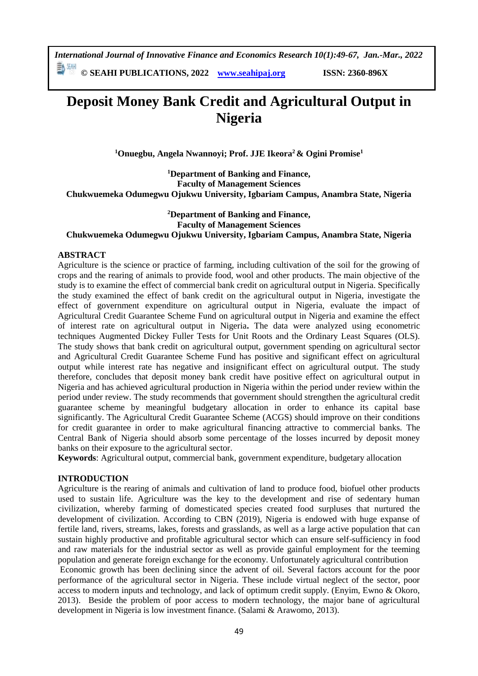*International Journal of Innovative Finance and Economics Research 10(1):49-67, Jan.-Mar., 2022*

**© SEAHI PUBLICATIONS, 2022 [www.seahipaj.org](http://www.seahipaj.org/) ISSN: 2360-896X**

# **Deposit Money Bank Credit and Agricultural Output in Nigeria**

**<sup>1</sup>Onuegbu, Angela Nwannoyi; Prof. JJE Ikeora<sup>2</sup> & Ogini Promise<sup>1</sup>**

**<sup>1</sup>Department of Banking and Finance, Faculty of Management Sciences Chukwuemeka Odumegwu Ojukwu University, Igbariam Campus, Anambra State, Nigeria**

#### **<sup>2</sup>Department of Banking and Finance, Faculty of Management Sciences Chukwuemeka Odumegwu Ojukwu University, Igbariam Campus, Anambra State, Nigeria**

# **ABSTRACT**

Agriculture is the science or practice of farming, including cultivation of the soil for the growing of crops and the rearing of animals to provide food, wool and other products. The main objective of the study is to examine the effect of commercial bank credit on agricultural output in Nigeria. Specifically the study examined the effect of bank credit on the agricultural output in Nigeria, investigate the effect of government expenditure on agricultural output in Nigeria, evaluate the impact of Agricultural Credit Guarantee Scheme Fund on agricultural output in Nigeria and examine the effect of interest rate on agricultural output in Nigeria**.** The data were analyzed using econometric techniques Augmented Dickey Fuller Tests for Unit Roots and the Ordinary Least Squares (OLS). The study shows that bank credit on agricultural output, government spending on agricultural sector and Agricultural Credit Guarantee Scheme Fund has positive and significant effect on agricultural output while interest rate has negative and insignificant effect on agricultural output. The study therefore, concludes that deposit money bank credit have positive effect on agricultural output in Nigeria and has achieved agricultural production in Nigeria within the period under review within the period under review. The study recommends that government should strengthen the agricultural credit guarantee scheme by meaningful budgetary allocation in order to enhance its capital base significantly. The Agricultural Credit Guarantee Scheme (ACGS) should improve on their conditions for credit guarantee in order to make agricultural financing attractive to commercial banks. The Central Bank of Nigeria should absorb some percentage of the losses incurred by deposit money banks on their exposure to the agricultural sector.

**Keywords**: Agricultural output, commercial bank, government expenditure, budgetary allocation

# **INTRODUCTION**

Agriculture is the rearing of animals and cultivation of land to produce food, biofuel other products used to sustain life. Agriculture was the key to the development and rise of sedentary human civilization, whereby farming of domesticated species created food surpluses that nurtured the development of civilization. According to CBN (2019), Nigeria is endowed with huge expanse of fertile land, rivers, streams, lakes, forests and grasslands, as well as a large active population that can sustain highly productive and profitable agricultural sector which can ensure self-sufficiency in food and raw materials for the industrial sector as well as provide gainful employment for the teeming population and generate foreign exchange for the economy. Unfortunately agricultural contribution

Economic growth has been declining since the advent of oil. Several factors account for the poor performance of the agricultural sector in Nigeria. These include virtual neglect of the sector, poor access to modern inputs and technology, and lack of optimum credit supply. (Enyim, Ewno & Okoro, 2013). Beside the problem of poor access to modern technology, the major bane of agricultural development in Nigeria is low investment finance. (Salami & Arawomo, 2013).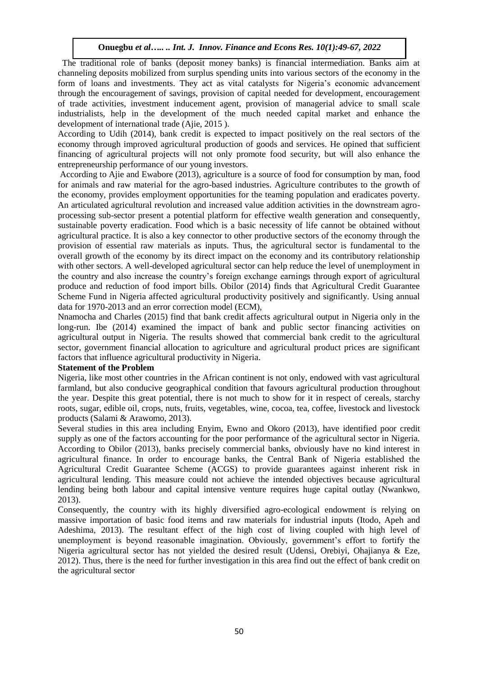The traditional role of banks (deposit money banks) is financial intermediation. Banks aim at channeling deposits mobilized from surplus spending units into various sectors of the economy in the form of loans and investments. They act as vital catalysts for Nigeria's economic advancement through the encouragement of savings, provision of capital needed for development, encouragement of trade activities, investment inducement agent, provision of managerial advice to small scale industrialists, help in the development of the much needed capital market and enhance the development of international trade (Ajie, 2015 ).

According to Udih (2014), bank credit is expected to impact positively on the real sectors of the economy through improved agricultural production of goods and services. He opined that sufficient financing of agricultural projects will not only promote food security, but will also enhance the entrepreneurship performance of our young investors.

According to Ajie and Ewabore (2013), agriculture is a source of food for consumption by man, food for animals and raw material for the agro-based industries. Agriculture contributes to the growth of the economy, provides employment opportunities for the teaming population and eradicates poverty. An articulated agricultural revolution and increased value addition activities in the downstream agroprocessing sub-sector present a potential platform for effective wealth generation and consequently, sustainable poverty eradication. Food which is a basic necessity of life cannot be obtained without agricultural practice. It is also a key connector to other productive sectors of the economy through the provision of essential raw materials as inputs. Thus, the agricultural sector is fundamental to the overall growth of the economy by its direct impact on the economy and its contributory relationship with other sectors. A well-developed agricultural sector can help reduce the level of unemployment in the country and also increase the country's foreign exchange earnings through export of agricultural produce and reduction of food import bills. Obilor (2014) finds that Agricultural Credit Guarantee Scheme Fund in Nigeria affected agricultural productivity positively and significantly. Using annual data for 1970-2013 and an error correction model (ECM),

Nnamocha and Charles (2015) find that bank credit affects agricultural output in Nigeria only in the long-run. Ibe (2014) examined the impact of bank and public sector financing activities on agricultural output in Nigeria. The results showed that commercial bank credit to the agricultural sector, government financial allocation to agriculture and agricultural product prices are significant factors that influence agricultural productivity in Nigeria.

#### **Statement of the Problem**

Nigeria, like most other countries in the African continent is not only, endowed with vast agricultural farmland, but also conducive geographical condition that favours agricultural production throughout the year. Despite this great potential, there is not much to show for it in respect of cereals, starchy roots, sugar, edible oil, crops, nuts, fruits, vegetables, wine, cocoa, tea, coffee, livestock and livestock products (Salami & Arawomo, 2013).

Several studies in this area including Enyim, Ewno and Okoro (2013), have identified poor credit supply as one of the factors accounting for the poor performance of the agricultural sector in Nigeria. According to Obilor (2013), banks precisely commercial banks, obviously have no kind interest in agricultural finance. In order to encourage banks, the Central Bank of Nigeria established the Agricultural Credit Guarantee Scheme (ACGS) to provide guarantees against inherent risk in agricultural lending. This measure could not achieve the intended objectives because agricultural lending being both labour and capital intensive venture requires huge capital outlay (Nwankwo, 2013).

Consequently, the country with its highly diversified agro-ecological endowment is relying on massive importation of basic food items and raw materials for industrial inputs (Itodo, Apeh and Adeshima, 2013). The resultant effect of the high cost of living coupled with high level of unemployment is beyond reasonable imagination. Obviously, government's effort to fortify the Nigeria agricultural sector has not yielded the desired result (Udensi, Orebiyi, Ohajianya & Eze, 2012). Thus, there is the need for further investigation in this area find out the effect of bank credit on the agricultural sector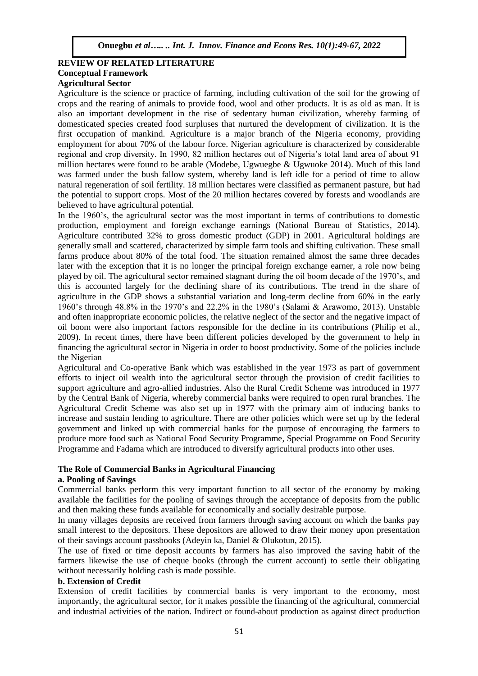# **REVIEW OF RELATED LITERATURE Conceptual Framework**

# **Agricultural Sector**

Agriculture is the science or practice of farming, including cultivation of the soil for the growing of crops and the rearing of animals to provide food, wool and other products. It is as old as man. It is also an important development in the rise of sedentary human civilization, whereby farming of domesticated species created food surpluses that nurtured the development of civilization. It is the first occupation of mankind. Agriculture is a major branch of the Nigeria economy, providing employment for about 70% of the labour force. Nigerian agriculture is characterized by considerable regional and crop diversity. In 1990, 82 million hectares out of Nigeria's total land area of about 91 million hectares were found to be arable (Modebe, Ugwuegbe  $&$  Ugwuoke 2014). Much of this land was farmed under the bush fallow system, whereby land is left idle for a period of time to allow natural regeneration of soil fertility. 18 million hectares were classified as permanent pasture, but had the potential to support crops. Most of the 20 million hectares covered by forests and woodlands are believed to have agricultural potential.

In the 1960's, the agricultural sector was the most important in terms of contributions to domestic production, employment and foreign exchange earnings (National Bureau of Statistics, 2014). Agriculture contributed 32% to gross domestic product (GDP) in 2001. Agricultural holdings are generally small and scattered, characterized by simple farm tools and shifting cultivation. These small farms produce about 80% of the total food. The situation remained almost the same three decades later with the exception that it is no longer the principal foreign exchange earner, a role now being played by oil. The agricultural sector remained stagnant during the oil boom decade of the 1970's, and this is accounted largely for the declining share of its contributions. The trend in the share of agriculture in the GDP shows a substantial variation and long-term decline from 60% in the early 1960's through 48.8% in the 1970's and 22.2% in the 1980's (Salami & Arawomo, 2013). Unstable and often inappropriate economic policies, the relative neglect of the sector and the negative impact of oil boom were also important factors responsible for the decline in its contributions (Philip et al., 2009). In recent times, there have been different policies developed by the government to help in financing the agricultural sector in Nigeria in order to boost productivity. Some of the policies include the Nigerian

Agricultural and Co-operative Bank which was established in the year 1973 as part of government efforts to inject oil wealth into the agricultural sector through the provision of credit facilities to support agriculture and agro-allied industries. Also the Rural Credit Scheme was introduced in 1977 by the Central Bank of Nigeria, whereby commercial banks were required to open rural branches. The Agricultural Credit Scheme was also set up in 1977 with the primary aim of inducing banks to increase and sustain lending to agriculture. There are other policies which were set up by the federal government and linked up with commercial banks for the purpose of encouraging the farmers to produce more food such as National Food Security Programme, Special Programme on Food Security Programme and Fadama which are introduced to diversify agricultural products into other uses.

#### **The Role of Commercial Banks in Agricultural Financing**

#### **a. Pooling of Savings**

Commercial banks perform this very important function to all sector of the economy by making available the facilities for the pooling of savings through the acceptance of deposits from the public and then making these funds available for economically and socially desirable purpose.

In many villages deposits are received from farmers through saving account on which the banks pay small interest to the depositors. These depositors are allowed to draw their money upon presentation of their savings account passbooks (Adeyin ka, Daniel & Olukotun, 2015).

The use of fixed or time deposit accounts by farmers has also improved the saving habit of the farmers likewise the use of cheque books (through the current account) to settle their obligating without necessarily holding cash is made possible.

#### **b. Extension of Credit**

Extension of credit facilities by commercial banks is very important to the economy, most importantly, the agricultural sector, for it makes possible the financing of the agricultural, commercial and industrial activities of the nation. Indirect or found-about production as against direct production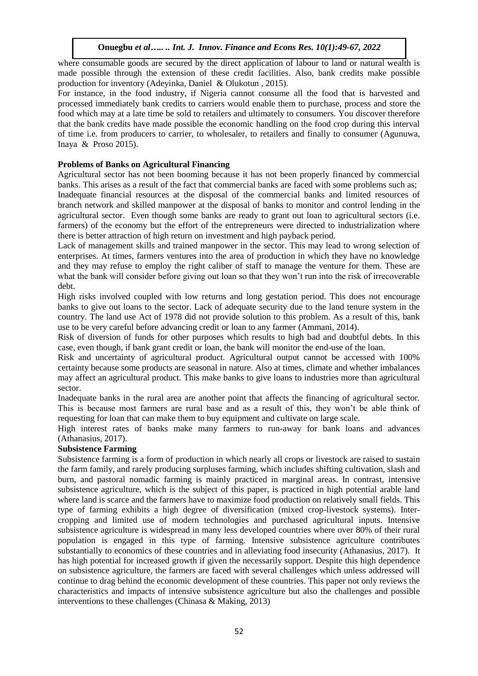where consumable goods are secured by the direct application of labour to land or natural wealth is made possible through the extension of these credit facilities. Also, bank credits make possible production for inventory (Adeyinka, Daniel & Olukotun , 2015).

For instance, in the food industry, if Nigeria cannot consume all the food that is harvested and processed immediately bank credits to carriers would enable them to purchase, process and store the food which may at a late time be sold to retailers and ultimately to consumers. You discover therefore that the bank credits have made possible the economic handling on the food crop during this interval of time i.e. from producers to carrier, to wholesaler, to retailers and finally to consumer (Agunuwa, Inaya & Proso 2015).

#### **Problems of Banks on Agricultural Financing**

Agricultural sector has not been booming because it has not been properly financed by commercial banks. This arises as a result of the fact that commercial banks are faced with some problems such as; Inadequate financial resources at the disposal of the commercial banks and limited resources of branch network and skilled manpower at the disposal of banks to monitor and control lending in the agricultural sector. Even though some banks are ready to grant out loan to agricultural sectors (i.e. farmers) of the economy but the effort of the entrepreneurs were directed to industrialization where there is better attraction of high return on investment and high payback period.

Lack of management skills and trained manpower in the sector. This may lead to wrong selection of enterprises. At times, farmers ventures into the area of production in which they have no knowledge and they may refuse to employ the right caliber of staff to manage the venture for them. These are what the bank will consider before giving out loan so that they won't run into the risk of irrecoverable debt.

High risks involved coupled with low returns and long gestation period. This does not encourage banks to give out loans to the sector. Lack of adequate security due to the land tenure system in the country. The land use Act of 1978 did not provide solution to this problem. As a result of this, bank use to be very careful before advancing credit or loan to any farmer (Ammani, 2014).

Risk of diversion of funds for other purposes which results to high bad and doubtful debts. In this case, even though, if bank grant credit or loan, the bank will monitor the end-use of the loan.

Risk and uncertainty of agricultural product. Agricultural output cannot be accessed with 100% certainty because some products are seasonal in nature. Also at times, climate and whether imbalances may affect an agricultural product. This make banks to give loans to industries more than agricultural sector.

Inadequate banks in the rural area are another point that affects the financing of agricultural sector. This is because most farmers are rural base and as a result of this, they won't be able think of requesting for loan that can make them to buy equipment and cultivate on large scale.

High interest rates of banks make many farmers to run-away for bank loans and advances (Athanasius, 2017).

#### **Subsistence Farming**

Subsistence farming is a form of production in which nearly all crops or livestock are raised to sustain the farm family, and rarely producing surpluses farming, which includes shifting cultivation, slash and burn, and pastoral nomadic farming is mainly practiced in marginal areas. In contrast, intensive subsistence agriculture, which is the subject of this paper, is practiced in high potential arable land where land is scarce and the farmers have to maximize food production on relatively small fields. This type of farming exhibits a high degree of diversification (mixed crop-livestock systems). Intercropping and limited use of modern technologies and purchased agricultural inputs. Intensive subsistence agriculture is widespread in many less developed countries where over 80% of their rural population is engaged in this type of farming. Intensive subsistence agriculture contributes substantially to economics of these countries and in alleviating food insecurity (Athanasius, 2017). It has high potential for increased growth if given the necessarily support. Despite this high dependence on subsistence agriculture, the farmers are faced with several challenges which unless addressed will continue to drag behind the economic development of these countries. This paper not only reviews the characteristics and impacts of intensive subsistence agriculture but also the challenges and possible interventions to these challenges (Chinasa & Making, 2013)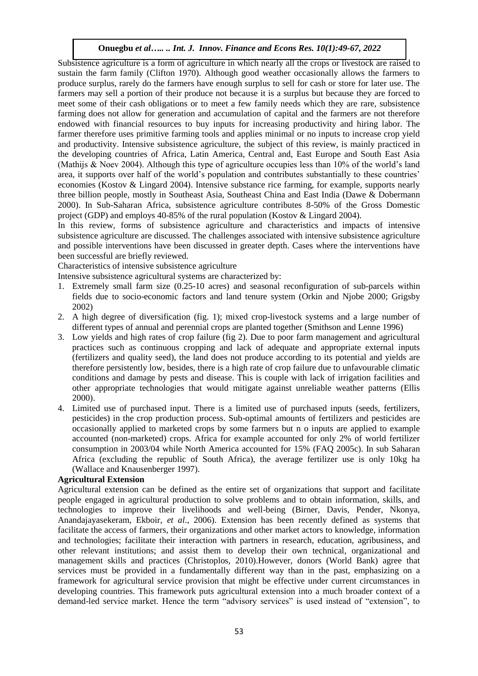Subsistence agriculture is a form of agriculture in which nearly all the crops or livestock are raised to sustain the farm family (Clifton 1970). Although good weather occasionally allows the farmers to produce surplus, rarely do the farmers have enough surplus to sell for cash or store for later use. The farmers may sell a portion of their produce not because it is a surplus but because they are forced to meet some of their cash obligations or to meet a few family needs which they are rare, subsistence farming does not allow for generation and accumulation of capital and the farmers are not therefore endowed with financial resources to buy inputs for increasing productivity and hiring labor. The farmer therefore uses primitive farming tools and applies minimal or no inputs to increase crop yield and productivity. Intensive subsistence agriculture, the subject of this review, is mainly practiced in the developing countries of Africa, Latin America, Central and, East Europe and South East Asia (Mathijs & Noev 2004). Although this type of agriculture occupies less than 10% of the world's land area, it supports over half of the world's population and contributes substantially to these countries' economies (Kostov & Lingard 2004). Intensive substance rice farming, for example, supports nearly three billion people, mostly in Southeast Asia, Southeast China and East India (Dawe & Dobermann 2000). In Sub-Saharan Africa, subsistence agriculture contributes 8-50% of the Gross Domestic project (GDP) and employs 40-85% of the rural population (Kostov & Lingard 2004).

In this review, forms of subsistence agriculture and characteristics and impacts of intensive subsistence agriculture are discussed. The challenges associated with intensive subsistence agriculture and possible interventions have been discussed in greater depth. Cases where the interventions have been successful are briefly reviewed.

Characteristics of intensive subsistence agriculture

Intensive subsistence agricultural systems are characterized by:

- 1. Extremely small farm size (0.25-10 acres) and seasonal reconfiguration of sub-parcels within fields due to socio-economic factors and land tenure system (Orkin and Njobe 2000; Grigsby 2002)
- 2. A high degree of diversification (fig. 1); mixed crop-livestock systems and a large number of different types of annual and perennial crops are planted together (Smithson and Lenne 1996)
- 3. Low yields and high rates of crop failure (fig 2). Due to poor farm management and agricultural practices such as continuous cropping and lack of adequate and appropriate external inputs (fertilizers and quality seed), the land does not produce according to its potential and yields are therefore persistently low, besides, there is a high rate of crop failure due to unfavourable climatic conditions and damage by pests and disease. This is couple with lack of irrigation facilities and other appropriate technologies that would mitigate against unreliable weather patterns (Ellis 2000).
- 4. Limited use of purchased input. There is a limited use of purchased inputs (seeds, fertilizers, pesticides) in the crop production process. Sub-optimal amounts of fertilizers and pesticides are occasionally applied to marketed crops by some farmers but n o inputs are applied to example accounted (non-marketed) crops. Africa for example accounted for only 2% of world fertilizer consumption in 2003/04 while North America accounted for 15% (FAQ 2005c). In sub Saharan Africa (excluding the republic of South Africa), the average fertilizer use is only 10kg ha (Wallace and Knausenberger 1997).

#### **Agricultural Extension**

Agricultural extension can be defined as the entire set of organizations that support and facilitate people engaged in agricultural production to solve problems and to obtain information, skills, and technologies to improve their livelihoods and well-being (Birner, Davis, Pender, Nkonya, Anandajayasekeram, Ekboir, *et al*., 2006). Extension has been recently defined as systems that facilitate the access of farmers, their organizations and other market actors to knowledge, information and technologies; facilitate their interaction with partners in research, education, agribusiness, and other relevant institutions; and assist them to develop their own technical, organizational and management skills and practices (Christoplos, 2010).However, donors (World Bank) agree that services must be provided in a fundamentally different way than in the past, emphasizing on a framework for agricultural service provision that might be effective under current circumstances in developing countries. This framework puts agricultural extension into a much broader context of a demand-led service market. Hence the term "advisory services" is used instead of "extension", to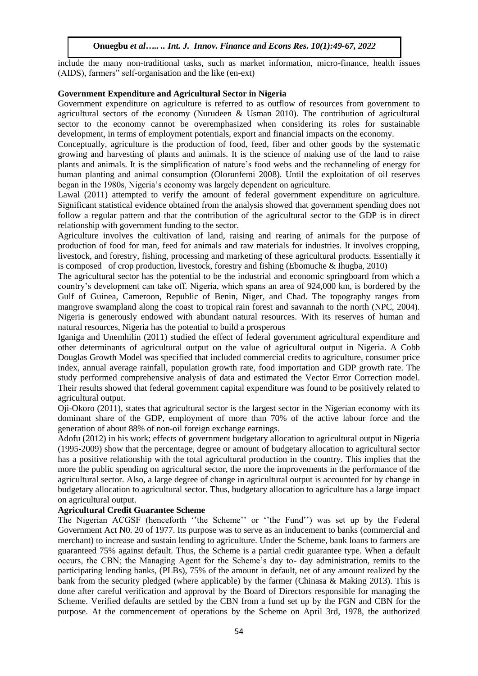include the many non-traditional tasks, such as market information, micro-finance, health issues (AIDS), farmers" self-organisation and the like (en-ext)

#### **Government Expenditure and Agricultural Sector in Nigeria**

Government expenditure on agriculture is referred to as outflow of resources from government to agricultural sectors of the economy (Nurudeen  $\&$  Usman 2010). The contribution of agricultural sector to the economy cannot be overemphasized when considering its roles for sustainable development, in terms of employment potentials, export and financial impacts on the economy.

Conceptually, agriculture is the production of food, feed, fiber and other goods by the systematic growing and harvesting of plants and animals. It is the science of making use of the land to raise plants and animals. It is the simplification of nature's food webs and the rechanneling of energy for human planting and animal consumption (Olorunfemi 2008). Until the exploitation of oil reserves began in the 1980s, Nigeria's economy was largely dependent on agriculture.

Lawal (2011) attempted to verify the amount of federal government expenditure on agriculture. Significant statistical evidence obtained from the analysis showed that government spending does not follow a regular pattern and that the contribution of the agricultural sector to the GDP is in direct relationship with government funding to the sector.

Agriculture involves the cultivation of land, raising and rearing of animals for the purpose of production of food for man, feed for animals and raw materials for industries. It involves cropping, livestock, and forestry, fishing, processing and marketing of these agricultural products. Essentially it is composed of crop production, livestock, forestry and fishing (Ebomuche & Ihugba, 2010)

The agricultural sector has the potential to be the industrial and economic springboard from which a country's development can take off. Nigeria, which spans an area of 924,000 km, is bordered by the Gulf of Guinea, Cameroon, Republic of Benin, Niger, and Chad. The topography ranges from mangrove swampland along the coast to tropical rain forest and savannah to the north (NPC, 2004). Nigeria is generously endowed with abundant natural resources. With its reserves of human and natural resources, Nigeria has the potential to build a prosperous

Iganiga and Unemhilin (2011) studied the effect of federal government agricultural expenditure and other determinants of agricultural output on the value of agricultural output in Nigeria. A Cobb Douglas Growth Model was specified that included commercial credits to agriculture, consumer price index, annual average rainfall, population growth rate, food importation and GDP growth rate. The study performed comprehensive analysis of data and estimated the Vector Error Correction model. Their results showed that federal government capital expenditure was found to be positively related to agricultural output.

Oji-Okoro (2011), states that agricultural sector is the largest sector in the Nigerian economy with its dominant share of the GDP, employment of more than 70% of the active labour force and the generation of about 88% of non-oil foreign exchange earnings.

Adofu (2012) in his work; effects of government budgetary allocation to agricultural output in Nigeria (1995-2009) show that the percentage, degree or amount of budgetary allocation to agricultural sector has a positive relationship with the total agricultural production in the country. This implies that the more the public spending on agricultural sector, the more the improvements in the performance of the agricultural sector. Also, a large degree of change in agricultural output is accounted for by change in budgetary allocation to agricultural sector. Thus, budgetary allocation to agriculture has a large impact on agricultural output.

#### **Agricultural Credit Guarantee Scheme**

The Nigerian ACGSF (henceforth ''the Scheme'' or ''the Fund'') was set up by the Federal Government Act N0. 20 of 1977. Its purpose was to serve as an inducement to banks (commercial and merchant) to increase and sustain lending to agriculture. Under the Scheme, bank loans to farmers are guaranteed 75% against default. Thus, the Scheme is a partial credit guarantee type. When a default occurs, the CBN; the Managing Agent for the Scheme's day to- day administration, remits to the participating lending banks, (PLBs), 75% of the amount in default, net of any amount realized by the bank from the security pledged (where applicable) by the farmer (Chinasa & Making 2013). This is done after careful verification and approval by the Board of Directors responsible for managing the Scheme. Verified defaults are settled by the CBN from a fund set up by the FGN and CBN for the purpose. At the commencement of operations by the Scheme on April 3rd, 1978, the authorized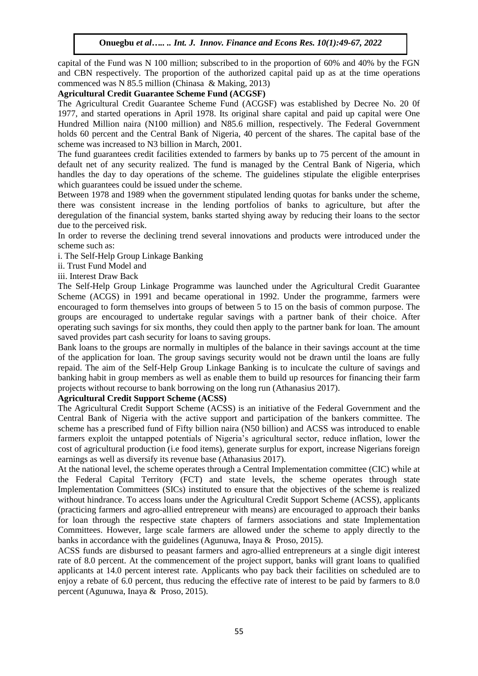capital of the Fund was N 100 million; subscribed to in the proportion of 60% and 40% by the FGN and CBN respectively. The proportion of the authorized capital paid up as at the time operations commenced was N 85.5 million (Chinasa & Making, 2013)

#### **Agricultural Credit Guarantee Scheme Fund (ACGSF)**

The Agricultural Credit Guarantee Scheme Fund (ACGSF) was established by Decree No. 20 0f 1977, and started operations in April 1978. Its original share capital and paid up capital were One Hundred Million naira (N100 million) and N85.6 million, respectively. The Federal Government holds 60 percent and the Central Bank of Nigeria, 40 percent of the shares. The capital base of the scheme was increased to N3 billion in March, 2001.

The fund guarantees credit facilities extended to farmers by banks up to 75 percent of the amount in default net of any security realized. The fund is managed by the Central Bank of Nigeria, which handles the day to day operations of the scheme. The guidelines stipulate the eligible enterprises which guarantees could be issued under the scheme.

Between 1978 and 1989 when the government stipulated lending quotas for banks under the scheme, there was consistent increase in the lending portfolios of banks to agriculture, but after the deregulation of the financial system, banks started shying away by reducing their loans to the sector due to the perceived risk.

In order to reverse the declining trend several innovations and products were introduced under the scheme such as:

i. The Self-Help Group Linkage Banking

ii. Trust Fund Model and

iii. Interest Draw Back

The Self-Help Group Linkage Programme was launched under the Agricultural Credit Guarantee Scheme (ACGS) in 1991 and became operational in 1992. Under the programme, farmers were encouraged to form themselves into groups of between 5 to 15 on the basis of common purpose. The groups are encouraged to undertake regular savings with a partner bank of their choice. After operating such savings for six months, they could then apply to the partner bank for loan. The amount saved provides part cash security for loans to saving groups.

Bank loans to the groups are normally in multiples of the balance in their savings account at the time of the application for loan. The group savings security would not be drawn until the loans are fully repaid. The aim of the Self-Help Group Linkage Banking is to inculcate the culture of savings and banking habit in group members as well as enable them to build up resources for financing their farm projects without recourse to bank borrowing on the long run (Athanasius 2017).

#### **Agricultural Credit Support Scheme (ACSS)**

The Agricultural Credit Support Scheme (ACSS) is an initiative of the Federal Government and the Central Bank of Nigeria with the active support and participation of the bankers committee. The scheme has a prescribed fund of Fifty billion naira (N50 billion) and ACSS was introduced to enable farmers exploit the untapped potentials of Nigeria's agricultural sector, reduce inflation, lower the cost of agricultural production (i.e food items), generate surplus for export, increase Nigerians foreign earnings as well as diversify its revenue base (Athanasius 2017).

At the national level, the scheme operates through a Central Implementation committee (CIC) while at the Federal Capital Territory (FCT) and state levels, the scheme operates through state Implementation Committees (SICs) instituted to ensure that the objectives of the scheme is realized without hindrance. To access loans under the Agricultural Credit Support Scheme (ACSS), applicants (practicing farmers and agro-allied entrepreneur with means) are encouraged to approach their banks for loan through the respective state chapters of farmers associations and state Implementation Committees. However, large scale farmers are allowed under the scheme to apply directly to the banks in accordance with the guidelines (Agunuwa, Inaya & Proso, 2015).

ACSS funds are disbursed to peasant farmers and agro-allied entrepreneurs at a single digit interest rate of 8.0 percent. At the commencement of the project support, banks will grant loans to qualified applicants at 14.0 percent interest rate. Applicants who pay back their facilities on scheduled are to enjoy a rebate of 6.0 percent, thus reducing the effective rate of interest to be paid by farmers to 8.0 percent (Agunuwa, Inaya & Proso, 2015).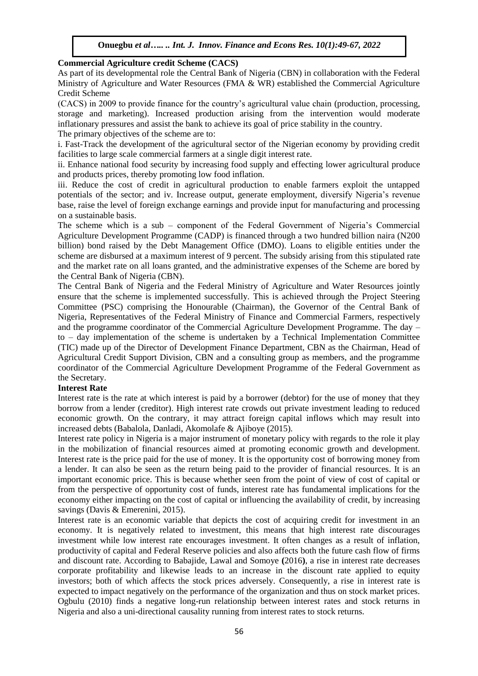#### **Commercial Agriculture credit Scheme (CACS)**

As part of its developmental role the Central Bank of Nigeria (CBN) in collaboration with the Federal Ministry of Agriculture and Water Resources (FMA & WR) established the Commercial Agriculture Credit Scheme

(CACS) in 2009 to provide finance for the country's agricultural value chain (production, processing, storage and marketing). Increased production arising from the intervention would moderate inflationary pressures and assist the bank to achieve its goal of price stability in the country. The primary objectives of the scheme are to:

i. Fast-Track the development of the agricultural sector of the Nigerian economy by providing credit facilities to large scale commercial farmers at a single digit interest rate.

ii. Enhance national food security by increasing food supply and effecting lower agricultural produce and products prices, thereby promoting low food inflation.

iii. Reduce the cost of credit in agricultural production to enable farmers exploit the untapped potentials of the sector; and iv. Increase output, generate employment, diversify Nigeria's revenue base, raise the level of foreign exchange earnings and provide input for manufacturing and processing on a sustainable basis.

The scheme which is a sub – component of the Federal Government of Nigeria's Commercial Agriculture Development Programme (CADP) is financed through a two hundred billion naira (N200 billion) bond raised by the Debt Management Office (DMO). Loans to eligible entities under the scheme are disbursed at a maximum interest of 9 percent. The subsidy arising from this stipulated rate and the market rate on all loans granted, and the administrative expenses of the Scheme are bored by the Central Bank of Nigeria (CBN).

The Central Bank of Nigeria and the Federal Ministry of Agriculture and Water Resources jointly ensure that the scheme is implemented successfully. This is achieved through the Project Steering Committee (PSC) comprising the Honourable (Chairman), the Governor of the Central Bank of Nigeria, Representatives of the Federal Ministry of Finance and Commercial Farmers, respectively and the programme coordinator of the Commercial Agriculture Development Programme. The day – to – day implementation of the scheme is undertaken by a Technical Implementation Committee (TIC) made up of the Director of Development Finance Department, CBN as the Chairman, Head of Agricultural Credit Support Division, CBN and a consulting group as members, and the programme coordinator of the Commercial Agriculture Development Programme of the Federal Government as the Secretary.

# **Interest Rate**

Interest rate is the rate at which interest is paid by a borrower (debtor) for the use of money that they borrow from a lender (creditor). High interest rate crowds out private investment leading to reduced economic growth. On the contrary, it may attract foreign capital inflows which may result into increased debts (Babalola, Danladi, Akomolafe & Ajiboye (2015).

Interest rate policy in Nigeria is a major instrument of monetary policy with regards to the role it play in the mobilization of financial resources aimed at promoting economic growth and development. Interest rate is the price paid for the use of money. It is the opportunity cost of borrowing money from a lender. It can also be seen as the return being paid to the provider of financial resources. It is an important economic price. This is because whether seen from the point of view of cost of capital or from the perspective of opportunity cost of funds, interest rate has fundamental implications for the economy either impacting on the cost of capital or influencing the availability of credit, by increasing savings (Davis & Emerenini, 2015).

Interest rate is an economic variable that depicts the cost of acquiring credit for investment in an economy. It is negatively related to investment, this means that high interest rate discourages investment while low interest rate encourages investment. It often changes as a result of inflation, productivity of capital and Federal Reserve policies and also affects both the future cash flow of firms and discount rate. According to Babajide, Lawal and Somoye **(**2016**)**, a rise in interest rate decreases corporate profitability and likewise leads to an increase in the discount rate applied to equity investors; both of which affects the stock prices adversely. Consequently, a rise in interest rate is expected to impact negatively on the performance of the organization and thus on stock market prices. Ogbulu (2010) finds a negative long-run relationship between interest rates and stock returns in Nigeria and also a uni-directional causality running from interest rates to stock returns.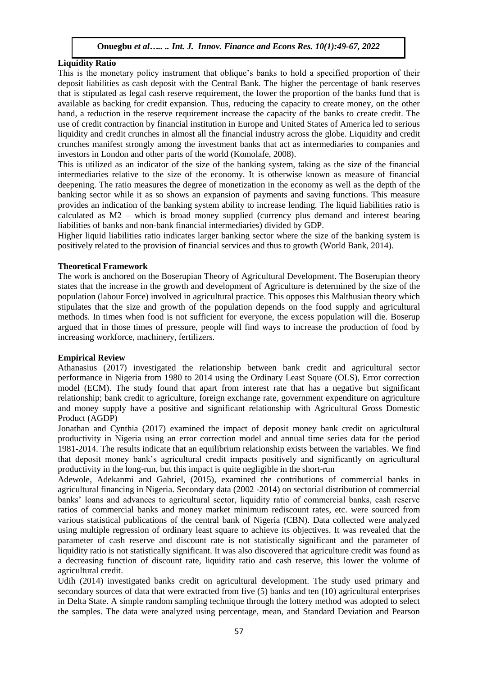# **Liquidity Ratio**

This is the monetary policy instrument that oblique's banks to hold a specified proportion of their deposit liabilities as cash deposit with the Central Bank. The higher the percentage of bank reserves that is stipulated as legal cash reserve requirement, the lower the proportion of the banks fund that is available as backing for credit expansion. Thus, reducing the capacity to create money, on the other hand, a reduction in the reserve requirement increase the capacity of the banks to create credit. The use of credit contraction by financial institution in Europe and United States of America led to serious liquidity and credit crunches in almost all the financial industry across the globe. Liquidity and credit crunches manifest strongly among the investment banks that act as intermediaries to companies and investors in London and other parts of the world (Komolafe, 2008).

This is utilized as an indicator of the size of the banking system, taking as the size of the financial intermediaries relative to the size of the economy. It is otherwise known as measure of financial deepening. The ratio measures the degree of monetization in the economy as well as the depth of the banking sector while it as so shows an expansion of payments and saving functions. This measure provides an indication of the banking system ability to increase lending. The liquid liabilities ratio is calculated as M2 – which is broad money supplied (currency plus demand and interest bearing liabilities of banks and non-bank financial intermediaries) divided by GDP.

Higher liquid liabilities ratio indicates larger banking sector where the size of the banking system is positively related to the provision of financial services and thus to growth (World Bank, 2014).

#### **Theoretical Framework**

The work is anchored on the Boserupian Theory of Agricultural Development. The Boserupian theory states that the increase in the growth and development of Agriculture is determined by the size of the population (labour Force) involved in agricultural practice. This opposes this Malthusian theory which stipulates that the size and growth of the population depends on the food supply and agricultural methods. In times when food is not sufficient for everyone, the excess population will die. Boserup argued that in those times of pressure, people will find ways to increase the production of food by increasing workforce, machinery, fertilizers.

#### **Empirical Review**

Athanasius (2017) investigated the relationship between bank credit and agricultural sector performance in Nigeria from 1980 to 2014 using the Ordinary Least Square (OLS), Error correction model (ECM). The study found that apart from interest rate that has a negative but significant relationship; bank credit to agriculture, foreign exchange rate, government expenditure on agriculture and money supply have a positive and significant relationship with Agricultural Gross Domestic Product (AGDP)

Jonathan and Cynthia (2017) examined the impact of deposit money bank credit on agricultural productivity in Nigeria using an error correction model and annual time series data for the period 1981-2014. The results indicate that an equilibrium relationship exists between the variables. We find that deposit money bank's agricultural credit impacts positively and significantly on agricultural productivity in the long-run, but this impact is quite negligible in the short-run

Adewole, Adekanmi and Gabriel, (2015), examined the contributions of commercial banks in agricultural financing in Nigeria. Secondary data (2002 -2014) on sectorial distribution of commercial banks' loans and advances to agricultural sector, liquidity ratio of commercial banks, cash reserve ratios of commercial banks and money market minimum rediscount rates, etc. were sourced from various statistical publications of the central bank of Nigeria (CBN). Data collected were analyzed using multiple regression of ordinary least square to achieve its objectives. It was revealed that the parameter of cash reserve and discount rate is not statistically significant and the parameter of liquidity ratio is not statistically significant. It was also discovered that agriculture credit was found as a decreasing function of discount rate, liquidity ratio and cash reserve, this lower the volume of agricultural credit.

Udih (2014) investigated banks credit on agricultural development. The study used primary and secondary sources of data that were extracted from five (5) banks and ten (10) agricultural enterprises in Delta State. A simple random sampling technique through the lottery method was adopted to select the samples. The data were analyzed using percentage, mean, and Standard Deviation and Pearson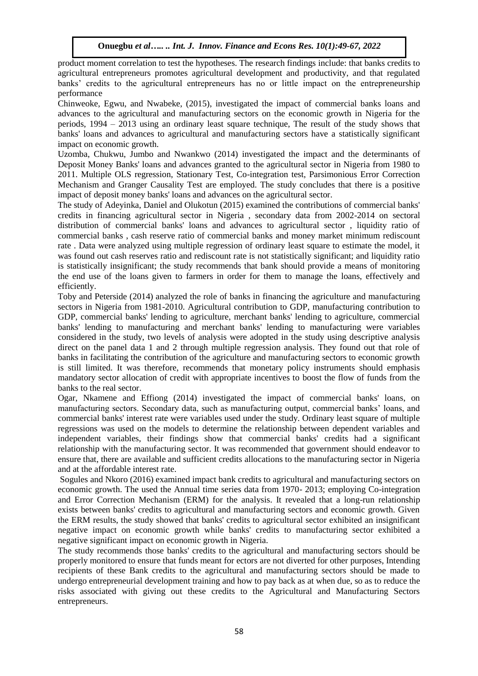product moment correlation to test the hypotheses. The research findings include: that banks credits to agricultural entrepreneurs promotes agricultural development and productivity, and that regulated banks' credits to the agricultural entrepreneurs has no or little impact on the entrepreneurship performance

Chinweoke, Egwu, and Nwabeke, (2015), investigated the impact of commercial banks loans and advances to the agricultural and manufacturing sectors on the economic growth in Nigeria for the periods, 1994 – 2013 using an ordinary least square technique, The result of the study shows that banks' loans and advances to agricultural and manufacturing sectors have a statistically significant impact on economic growth.

Uzomba, Chukwu, Jumbo and Nwankwo (2014) investigated the impact and the determinants of Deposit Money Banks' loans and advances granted to the agricultural sector in Nigeria from 1980 to 2011. Multiple OLS regression, Stationary Test, Co-integration test, Parsimonious Error Correction Mechanism and Granger Causality Test are employed. The study concludes that there is a positive impact of deposit money banks' loans and advances on the agricultural sector.

The study of Adeyinka, Daniel and Olukotun (2015) examined the contributions of commercial banks' credits in financing agricultural sector in Nigeria , secondary data from 2002-2014 on sectoral distribution of commercial banks' loans and advances to agricultural sector , liquidity ratio of commercial banks , cash reserve ratio of commercial banks and money market minimum rediscount rate . Data were analyzed using multiple regression of ordinary least square to estimate the model, it was found out cash reserves ratio and rediscount rate is not statistically significant; and liquidity ratio is statistically insignificant; the study recommends that bank should provide a means of monitoring the end use of the loans given to farmers in order for them to manage the loans, effectively and efficiently.

Toby and Peterside (2014) analyzed the role of banks in financing the agriculture and manufacturing sectors in Nigeria from 1981-2010. Agricultural contribution to GDP, manufacturing contribution to GDP, commercial banks' lending to agriculture, merchant banks' lending to agriculture, commercial banks' lending to manufacturing and merchant banks' lending to manufacturing were variables considered in the study, two levels of analysis were adopted in the study using descriptive analysis direct on the panel data 1 and 2 through multiple regression analysis. They found out that role of banks in facilitating the contribution of the agriculture and manufacturing sectors to economic growth is still limited. It was therefore, recommends that monetary policy instruments should emphasis mandatory sector allocation of credit with appropriate incentives to boost the flow of funds from the banks to the real sector.

Ogar, Nkamene and Effiong (2014) investigated the impact of commercial banks' loans, on manufacturing sectors. Secondary data, such as manufacturing output, commercial banks' loans, and commercial banks' interest rate were variables used under the study. Ordinary least square of multiple regressions was used on the models to determine the relationship between dependent variables and independent variables, their findings show that commercial banks' credits had a significant relationship with the manufacturing sector. It was recommended that government should endeavor to ensure that, there are available and sufficient credits allocations to the manufacturing sector in Nigeria and at the affordable interest rate.

Sogules and Nkoro (2016) examined impact bank credits to agricultural and manufacturing sectors on economic growth. The used the Annual time series data from 1970- 2013; employing Co-integration and Error Correction Mechanism (ERM) for the analysis. It revealed that a long-run relationship exists between banks' credits to agricultural and manufacturing sectors and economic growth. Given the ERM results, the study showed that banks' credits to agricultural sector exhibited an insignificant negative impact on economic growth while banks' credits to manufacturing sector exhibited a negative significant impact on economic growth in Nigeria.

The study recommends those banks' credits to the agricultural and manufacturing sectors should be properly monitored to ensure that funds meant for ectors are not diverted for other purposes, Intending recipients of these Bank credits to the agricultural and manufacturing sectors should be made to undergo entrepreneurial development training and how to pay back as at when due, so as to reduce the risks associated with giving out these credits to the Agricultural and Manufacturing Sectors entrepreneurs.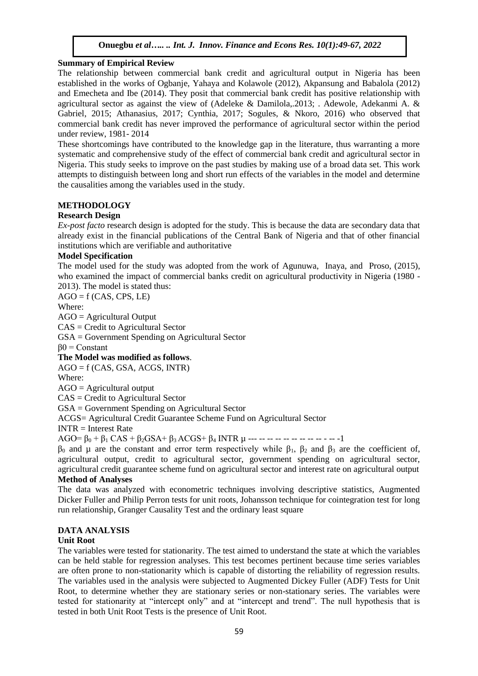#### **Summary of Empirical Review**

The relationship between commercial bank credit and agricultural output in Nigeria has been established in the works of Ogbanje, Yahaya and Kolawole (2012), Akpansung and Babalola (2012) and Emecheta and Ibe (2014). They posit that commercial bank credit has positive relationship with agricultural sector as against the view of (Adeleke & Damilola,.2013; . Adewole, Adekanmi A. & Gabriel, 2015; Athanasius, 2017; Cynthia, 2017; Sogules, & Nkoro, 2016) who observed that commercial bank credit has never improved the performance of agricultural sector within the period under review, 1981- 2014

These shortcomings have contributed to the knowledge gap in the literature, thus warranting a more systematic and comprehensive study of the effect of commercial bank credit and agricultural sector in Nigeria. This study seeks to improve on the past studies by making use of a broad data set. This work attempts to distinguish between long and short run effects of the variables in the model and determine the causalities among the variables used in the study.

# **METHODOLOGY**

#### **Research Design**

*Ex-post facto* research design is adopted for the study. This is because the data are secondary data that already exist in the financial publications of the Central Bank of Nigeria and that of other financial institutions which are verifiable and authoritative

#### **Model Specification**

The model used for the study was adopted from the work of Agunuwa, Inaya, and Proso, (2015), who examined the impact of commercial banks credit on agricultural productivity in Nigeria (1980 - 2013). The model is stated thus:

 $AGO = f (CAS, CPS, LE)$ 

Where:

AGO = Agricultural Output

CAS = Credit to Agricultural Sector

GSA = Government Spending on Agricultural Sector

 $β0 = Constant$ 

# **The Model was modified as follows**.

 $AGO = f(CAS, GSA, ACGS, INTR)$ 

Where:

AGO = Agricultural output

CAS = Credit to Agricultural Sector

GSA = Government Spending on Agricultural Sector

ACGS= Agricultural Credit Guarantee Scheme Fund on Agricultural Sector

 $INTER = Interest Rate$ 

AGO=  $\beta_0 + \beta_1$  CAS +  $\beta_2$ GSA+  $\beta_3$  ACGS+  $\beta_4$  INTR  $\mu$  --- -- -- -- -- -- -- -- -- -- -1

 $β_0$  and μ are the constant and error term respectively while  $β_1$ ,  $β_2$  and  $β_3$  are the coefficient of, agricultural output, credit to agricultural sector, government spending on agricultural sector, agricultural credit guarantee scheme fund on agricultural sector and interest rate on agricultural output **Method of Analyses**

The data was analyzed with econometric techniques involving descriptive statistics, Augmented Dicker Fuller and Philip Perron tests for unit roots, Johansson technique for cointegration test for long run relationship, Granger Causality Test and the ordinary least square

# **DATA ANALYSIS**

# **Unit Root**

The variables were tested for stationarity. The test aimed to understand the state at which the variables can be held stable for regression analyses. This test becomes pertinent because time series variables are often prone to non-stationarity which is capable of distorting the reliability of regression results. The variables used in the analysis were subjected to Augmented Dickey Fuller (ADF) Tests for Unit Root, to determine whether they are stationary series or non-stationary series. The variables were tested for stationarity at "intercept only" and at "intercept and trend". The null hypothesis that is tested in both Unit Root Tests is the presence of Unit Root.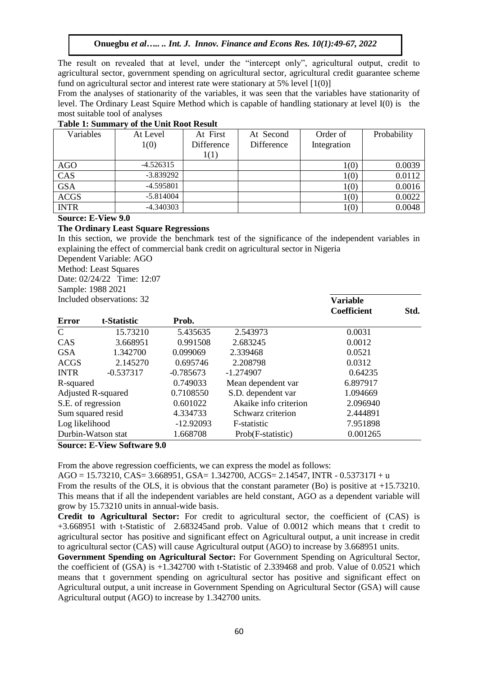The result on revealed that at level, under the "intercept only", agricultural output, credit to agricultural sector, government spending on agricultural sector, agricultural credit guarantee scheme fund on agricultural sector and interest rate were stationary at 5% level  $[1(0)]$ 

From the analyses of stationarity of the variables, it was seen that the variables have stationarity of level. The Ordinary Least Squire Method which is capable of handling stationary at level I(0) is the most suitable tool of analyses

| Variables   | At Level    | At First   | At Second         | Order of    | Probability |
|-------------|-------------|------------|-------------------|-------------|-------------|
|             | 1(0)        | Difference | <b>Difference</b> | Integration |             |
|             |             | 1(1)       |                   |             |             |
| <b>AGO</b>  | $-4.526315$ |            |                   | l(0)        | 0.0039      |
| CAS         | $-3.839292$ |            |                   | 1(0)        | 0.0112      |
| <b>GSA</b>  | $-4.595801$ |            |                   | 1(0)        | 0.0016      |
| <b>ACGS</b> | $-5.814004$ |            |                   | 1(0)        | 0.0022      |
| <b>INTR</b> | $-4.340303$ |            |                   | 1(0)        | 0.0048      |

#### **Table 1: Summary of the Unit Root Result**

#### **Source: E-View 9.0**

#### **The Ordinary Least Square Regressions**

In this section, we provide the benchmark test of the significance of the independent variables in explaining the effect of commercial bank credit on agricultural sector in Nigeria

**Variable** 

Dependent Variable: AGO Method: Least Squares Date: 02/24/22 Time: 12:07 Sample: 1988 2021 Included observations: 32

|                           | Included observations: 32 |             |                       | Variable<br><b>Coefficient</b> | Std. |
|---------------------------|---------------------------|-------------|-----------------------|--------------------------------|------|
| <b>Error</b>              | t-Statistic               | Prob.       |                       |                                |      |
| $\mathcal{C}$             | 15.73210                  | 5.435635    | 2.543973              | 0.0031                         |      |
| CAS                       | 3.668951                  | 0.991508    | 2.683245              | 0.0012                         |      |
| <b>GSA</b>                | 1.342700                  | 0.099069    | 2.339468              | 0.0521                         |      |
| <b>ACGS</b>               | 2.145270                  | 0.695746    | 2.208798              | 0.0312                         |      |
| <b>INTR</b>               | $-0.537317$               | $-0.785673$ | $-1.274907$           | 0.64235                        |      |
| R-squared                 |                           | 0.749033    | Mean dependent var    | 6.897917                       |      |
| <b>Adjusted R-squared</b> |                           | 0.7108550   | S.D. dependent var    | 1.094669                       |      |
| S.E. of regression        |                           | 0.601022    | Akaike info criterion | 2.096940                       |      |
| Sum squared resid         |                           | 4.334733    | Schwarz criterion     | 2.444891                       |      |
| Log likelihood            |                           | $-12.92093$ | F-statistic           | 7.951898                       |      |
| Durbin-Watson stat        |                           | 1.668708    | Prob(F-statistic)     | 0.001265                       |      |

**Source: E-View Software 9.0**

From the above regression coefficients, we can express the model as follows:

 $AGO = 15.73210$ ,  $CAS = 3.668951$ ,  $GSA = 1.342700$ ,  $ACGS = 2.14547$ ,  $INTR - 0.537317I + u$ 

From the results of the OLS, it is obvious that the constant parameter (Bo) is positive at +15.73210. This means that if all the independent variables are held constant, AGO as a dependent variable will grow by 15.73210 units in annual-wide basis.

**Credit to Agricultural Sector:** For credit to agricultural sector, the coefficient of (CAS) is +3.668951 with t-Statistic of 2.683245and prob. Value of 0.0012 which means that t credit to agricultural sector has positive and significant effect on Agricultural output, a unit increase in credit to agricultural sector (CAS) will cause Agricultural output (AGO) to increase by 3.668951 units.

**Government Spending on Agricultural Sector:** For Government Spending on Agricultural Sector, the coefficient of (GSA) is +1.342700 with t-Statistic of 2.339468 and prob. Value of 0.0521 which means that t government spending on agricultural sector has positive and significant effect on Agricultural output, a unit increase in Government Spending on Agricultural Sector (GSA) will cause Agricultural output (AGO) to increase by 1.342700 units.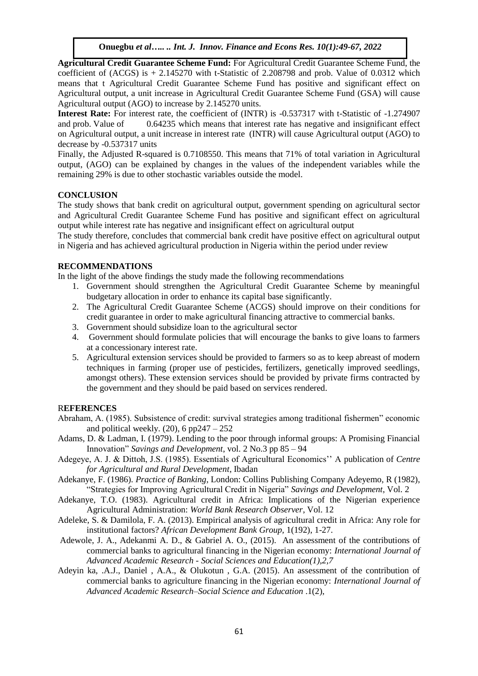**Agricultural Credit Guarantee Scheme Fund:** For Agricultural Credit Guarantee Scheme Fund, the coefficient of  $(ACGS)$  is  $+ 2.145270$  with t-Statistic of 2.208798 and prob. Value of 0.0312 which means that t Agricultural Credit Guarantee Scheme Fund has positive and significant effect on Agricultural output, a unit increase in Agricultural Credit Guarantee Scheme Fund (GSA) will cause Agricultural output (AGO) to increase by 2.145270 units.

**Interest Rate:** For interest rate, the coefficient of (INTR) is -0.537317 with t-Statistic of -1.274907 and prob. Value of 0.64235 which means that interest rate has negative and insignificant effect on Agricultural output, a unit increase in interest rate (INTR) will cause Agricultural output (AGO) to decrease by -0.537317 units

Finally, the Adjusted R-squared is 0.7108550. This means that 71% of total variation in Agricultural output, (AGO) can be explained by changes in the values of the independent variables while the remaining 29% is due to other stochastic variables outside the model.

# **CONCLUSION**

The study shows that bank credit on agricultural output, government spending on agricultural sector and Agricultural Credit Guarantee Scheme Fund has positive and significant effect on agricultural output while interest rate has negative and insignificant effect on agricultural output

The study therefore, concludes that commercial bank credit have positive effect on agricultural output in Nigeria and has achieved agricultural production in Nigeria within the period under review

#### **RECOMMENDATIONS**

In the light of the above findings the study made the following recommendations

- 1. Government should strengthen the Agricultural Credit Guarantee Scheme by meaningful budgetary allocation in order to enhance its capital base significantly.
- 2. The Agricultural Credit Guarantee Scheme (ACGS) should improve on their conditions for credit guarantee in order to make agricultural financing attractive to commercial banks.
- 3. Government should subsidize loan to the agricultural sector
- 4. Government should formulate policies that will encourage the banks to give loans to farmers at a concessionary interest rate.
- 5. Agricultural extension services should be provided to farmers so as to keep abreast of modern techniques in farming (proper use of pesticides, fertilizers, genetically improved seedlings, amongst others). These extension services should be provided by private firms contracted by the government and they should be paid based on services rendered.

# R**EFERENCES**

- Abraham, A. (1985). Subsistence of credit: survival strategies among traditional fishermen" economic and political weekly.  $(20)$ , 6 pp $247 - 252$
- Adams, D. & Ladman, I. (1979). Lending to the poor through informal groups: A Promising Financial Innovation" *Savings and Development*, vol. 2 No.3 pp 85 – 94
- Adegeye, A. J. & Dittoh, J.S. (1985). Essentials of Agricultural Economics'' A publication of *Centre for Agricultural and Rural Development*, Ibadan
- Adekanye, F. (1986). *Practice of Banking*, London: Collins Publishing Company Adeyemo, R (1982), "Strategies for Improving Agricultural Credit in Nigeria" *Savings and Development*, Vol. 2
- Adekanye, T.O. (1983). Agricultural credit in Africa: Implications of the Nigerian experience Agricultural Administration: *World Bank Research Observer*, Vol. 12
- Adeleke, S. & Damilola, F. A. (2013). Empirical analysis of agricultural credit in Africa: Any role for institutional factors? *African Development Bank Group,* 1(192), 1-27.
- Adewole, J. A., Adekanmi A. D., & Gabriel A. O., (2015). An assessment of the contributions of commercial banks to agricultural financing in the Nigerian economy: *International Journal of Advanced Academic Research - Social Sciences and Education(1),2,7*
- Adeyin ka, .A.J., Daniel , A.A., & Olukotun , G.A. (2015). An assessment of the contribution of commercial banks to agriculture financing in the Nigerian economy: *International Journal of Advanced Academic Research–Social Science and Education* .1(2),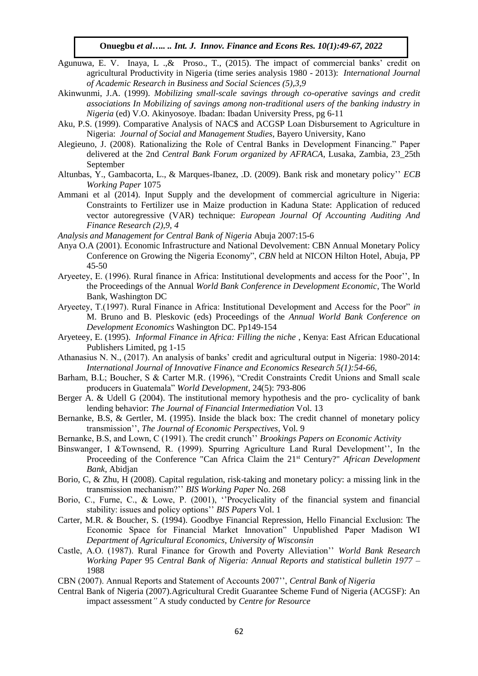- Agunuwa, E. V. Inaya, L .,& Proso., T., (2015). The impact of commercial banks' credit on agricultural Productivity in Nigeria (time series analysis 1980 - 2013): *International Journal of Academic Research in Business and Social Sciences (5),3,9*
- Akinwunmi, J.A. (1999). *Mobilizing small-scale savings through co-operative savings and credit associations In Mobilizing of savings among non-traditional users of the banking industry in Nigeria* (ed) V.O. Akinyosoye. Ibadan: Ibadan University Press, pg 6-11
- Aku, P.S. (1999). Comparative Analysis of NAC\$ and ACGSP Loan Disbursement to Agriculture in Nigeria: *Journal of Social and Management Studies*, Bayero University, Kano
- Alegieuno, J. (2008). Rationalizing the Role of Central Banks in Development Financing." Paper delivered at the 2nd *Central Bank Forum organized by AFRACA*, Lusaka, Zambia, 23\_25th September
- Altunbas, Y., Gambacorta, L., & Marques-Ibanez, .D. (2009). Bank risk and monetary policy'' *ECB Working Paper* 1075
- Ammani et al (2014). Input Supply and the development of commercial agriculture in Nigeria: Constraints to Fertilizer use in Maize production in Kaduna State: Application of reduced vector autoregressive (VAR) technique: *European Journal Of Accounting Auditing And Finance Research (2),9, 4*
- *Analysis and Management for Central Bank of Nigeria* Abuja 2007:15-6
- Anya O.A (2001). Economic Infrastructure and National Devolvement: CBN Annual Monetary Policy Conference on Growing the Nigeria Economy", *CBN* held at NICON Hilton Hotel, Abuja, PP 45-50
- Aryeetey, E. (1996). Rural finance in Africa: Institutional developments and access for the Poor'', In the Proceedings of the Annual *World Bank Conference in Development Economic*, The World Bank, Washington DC
- Aryeetey, T.(1997). Rural Finance in Africa: Institutional Development and Access for the Poor" *in*  M. Bruno and B. Pleskovic (eds) Proceedings of the *Annual World Bank Conference on Development Economics* Washington DC. Pp149-154
- Aryeteey, E. (1995). *Informal Finance in Africa: Filling the niche* , Kenya: East African Educational Publishers Limited, pg 1-15
- Athanasius N. N., (2017). An analysis of banks' credit and agricultural output in Nigeria: 1980-2014: *International Journal of Innovative Finance and Economics Research 5(1):54-66,*
- Barham, B.L; Boucher, S & Carter M.R. (1996), "Credit Constraints Credit Unions and Small scale producers in Guatemala" *World Development*, 24(5): 793-806
- Berger A. & Udell G (2004). The institutional memory hypothesis and the pro- cyclicality of bank lending behavior: *The Journal of Financial Intermediation* Vol. 13
- Bernanke, B.S, & Gertler, M. (1995). Inside the black box: The credit channel of monetary policy transmission'', *The Journal of Economic Perspectives,* Vol. 9
- Bernanke, B.S, and Lown, C (1991). The credit crunch'' *Brookings Papers on Economic Activity*
- Binswanger, I &Townsend, R. (1999). Spurring Agriculture Land Rural Development'', In the Proceeding of the Conference "Can Africa Claim the 21<sup>st</sup> Century?" *African Development Bank,* Abidjan
- Borio, C, & Zhu, H (2008). Capital regulation, risk-taking and monetary policy: a missing link in the transmission mechanism?'' *BIS Working Paper* No. 268
- Borio, C., Furne, C., & Lowe, P. (2001), ''Procyclicality of the financial system and financial stability: issues and policy options'' *BIS Papers* Vol. 1
- Carter, M.R. & Boucher, S. (1994). Goodbye Financial Repression, Hello Financial Exclusion: The Economic Space for Financial Market Innovation" Unpublished Paper Madison WI *Department of Agricultural Economics, University of Wisconsin*
- Castle, A.O. (1987). Rural Finance for Growth and Poverty Alleviation'' *World Bank Research Working Paper* 95 *Central Bank of Nigeria: Annual Reports and statistical bulletin 1977 –* 1988
- CBN (2007). Annual Reports and Statement of Accounts 2007'', *Central Bank of Nigeria*
- Central Bank of Nigeria (2007).Agricultural Credit Guarantee Scheme Fund of Nigeria (ACGSF): An impact assessment*"* A study conducted by *Centre for Resource*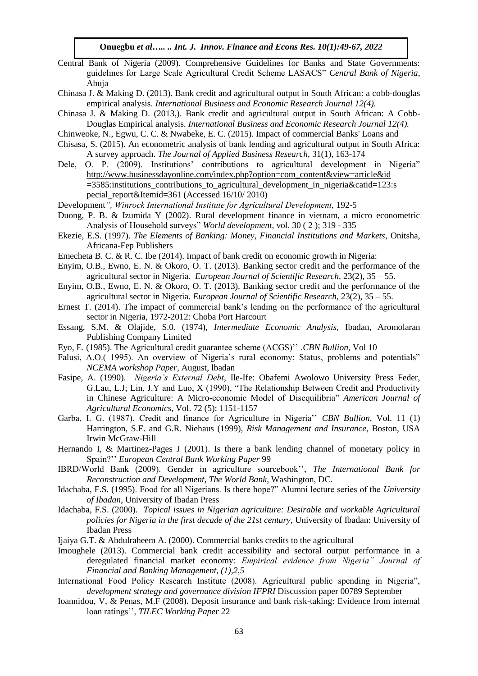- Central Bank of Nigeria (2009). Comprehensive Guidelines for Banks and State Governments: guidelines for Large Scale Agricultural Credit Scheme LASACS" *Central Bank of Nigeria*, Abuja
- Chinasa J. & Making D. (2013). Bank credit and agricultural output in South African: a cobb-douglas empirical analysis. *International Business and Economic Research Journal 12(4).*
- Chinasa J. & Making D. (2013,). Bank credit and agricultural output in South African: A Cobb-Douglas Empirical analysis. *International Business and Economic Research Journal 12(4).*
- Chinweoke, N., Egwu, C. C. & Nwabeke, E. C. (2015). Impact of commercial Banks' Loans and
- Chisasa, S. (2015). An econometric analysis of bank lending and agricultural output in South Africa: A survey approach. *The Journal of Applied Business Research,* 31(1), 163-174
- Dele, O. P. (2009). Institutions' contributions to agricultural development in Nigeria" [http://www.businessdayonline.com/index.php?option=com\\_content&view=article&id](http://www.businessdayonline.com/index.php?option=com_content&view=article&id) =3585:institutions\_contributions\_to\_agricultural\_development\_in\_nigeria&catid=123:s pecial\_report&Itemid=361 (Accessed 16/10/ 2010)
- Development*"*, *Winrock International Institute for Agricultural Development*, 192-5
- Duong, P. B. & Izumida Y (2002). Rural development finance in vietnam, a micro econometric Analysis of Household surveys" *World development*, vol. 30 ( 2 ); 319 - 335
- Ekezie, E.S. (1997). *The Elements of Banking: Money, Financial Institutions and Markets*, Onitsha, Africana-Fep Publishers
- Emecheta B. C. & R. C. Ibe (2014). Impact of bank credit on economic growth in Nigeria:
- Enyim, O.B., Ewno, E. N. & Okoro, O. T. (2013). Banking sector credit and the performance of the agricultural sector in Nigeria. *European Journal of Scientific Research,* 23(2), 35 – 55.
- Enyim, O.B., Ewno, E. N. & Okoro, O. T. (2013). Banking sector credit and the performance of the agricultural sector in Nigeria. *European Journal of Scientific Research,* 23(2), 35 – 55.
- Ernest T. (2014). The impact of commercial bank's lending on the performance of the agricultural sector in Nigeria, 1972-2012: Choba Port Harcourt
- Essang, S.M. & Olajide, S.0. (1974), *Intermediate Economic Analysis,* Ibadan, Aromolaran Publishing Company Limited
- Eyo, E. (1985). The Agricultural credit guarantee scheme (ACGS)'' .*CBN Bullion,* Vol 10
- Falusi, A.O.( 1995). An overview of Nigeria's rural economy: Status, problems and potentials" *NCEMA workshop Paper*, August, lbadan
- Fasipe, A. (1990). *Nigeria's External Debt*, Ile-Ife: Obafemi Awolowo University Press Feder, G.Lau, L.J; Lin, J.Y and Luo, X (1990), "The Relationship Between Credit and Productivity in Chinese Agriculture: A Micro-economic Model of Disequilibria" *American Journal of Agricultural Economics*, Vol. 72 (5): 1151-1157
- Garba, I. G. (1987). Credit and finance for Agriculture in Nigeria'' *CBN Bullion,* Vol. 11 (1) Harrington, S.E. and G.R. Niehaus (1999), *Risk Management and Insurance*, Boston, USA Irwin McGraw-Hill
- Hernando I, & Martinez-Pages J (2001). Is there a bank lending channel of monetary policy in Spain?'' *European Central Bank Working Paper* 99
- IBRD/World Bank (2009). Gender in agriculture sourcebook'', *The International Bank for Reconstruction and Development, The World Bank*, Washington, DC.
- Idachaba, F.S. (1995). Food for all Nigerians. Is there hope?" Alumni lecture series of the *University of Ibadan*, University of Ibadan Press
- Idachaba, F.S. (2000). *Topical issues in Nigerian agriculture: Desirable and workable Agricultural policies for Nigeria in the first decade of the 21st century*, University of Ibadan: University of Ibadan Press
- Ijaiya G.T. & Abdulraheem A. (2000). Commercial banks credits to the agricultural
- Imoughele (2013). Commercial bank credit accessibility and sectoral output performance in a deregulated financial market economy: *Empirical evidence from Nigeria" Journal of Financial and Banking Management, (1),2,5*
- International Food Policy Research Institute (2008). Agricultural public spending in Nigeria", *development strategy and governance division IFPRI* Discussion paper 00789 September
- Ioannidou, V, & Penas, M.F (2008). Deposit insurance and bank risk-taking: Evidence from internal loan ratings'', *TILEC Working Paper* 22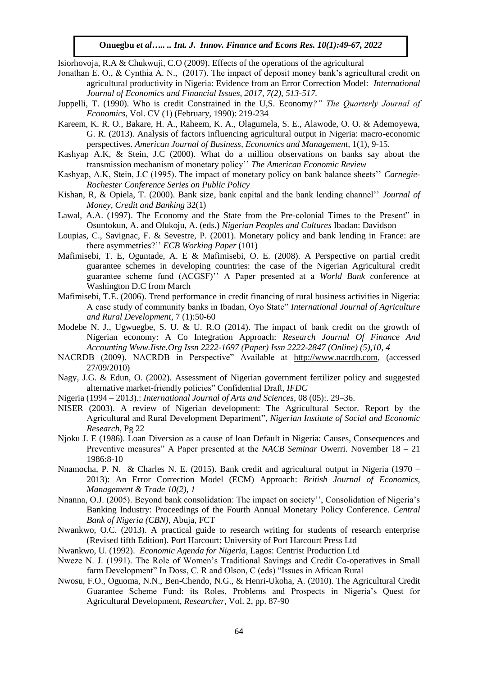Isiorhovoja, R.A & Chukwuji, C.O (2009). Effects of the operations of the agricultural

- Jonathan E. O., & Cynthia A. N., (2017). The impact of deposit money bank's agricultural credit on agricultural productivity in Nigeria: Evidence from an Error Correction Model: *International Journal of Economics and Financial Issues, 2017, 7(2), 513-517.*
- Juppelli, T. (1990). Who is credit Constrained in the U,S. Economy*?" The Quarterly Journal of Economic*s, Vol. CV (1) (February, 1990): 219-234
- Kareem, K. R. O., Bakare, H. A., Raheem, K. A., Olagumela, S. E., Alawode, O. O. & Ademoyewa, G. R. (2013). Analysis of factors influencing agricultural output in Nigeria: macro-economic perspectives. *American Journal of Business, Economics and Management,* 1(1), 9-15.
- Kashyap A.K, & Stein, J.C (2000). What do a million observations on banks say about the transmission mechanism of monetary policy'' *The American Economic Review*
- Kashyap, A.K, Stein, J.C (1995). The impact of monetary policy on bank balance sheets'' *Carnegie-Rochester Conference Series on Public Policy*
- Kishan, R, & Opiela, T. (2000). Bank size, bank capital and the bank lending channel'' *Journal of Money, Credit and Banking* 32(1)
- Lawal, A.A. (1997). The Economy and the State from the Pre-colonial Times to the Present" in Osuntokun, A. and Olukoju, A. (eds.) *Nigerian Peoples and Cultures* Ibadan: Davidson
- Loupias, C., Savignac, F. & Sevestre, P. (2001). Monetary policy and bank lending in France: are there asymmetries?'' *ECB Working Paper* (101)
- Mafimisebi, T. E, Oguntade, A. E & Mafimisebi, O. E. (2008). A Perspective on partial credit guarantee schemes in developing countries: the case of the Nigerian Agricultural credit guarantee scheme fund (ACGSF)'' A Paper presented at a *World Bank c*onference at Washington D.C from March
- Mafimisebi, T.E. (2006). Trend performance in credit financing of rural business activities in Nigeria: A case study of community banks in Ibadan, Oyo State" *International Journal of Agriculture and Rural Development*, 7 (1):50-60
- Modebe N. J., Ugwuegbe, S. U. & U. R.O (2014). The impact of bank credit on the growth of Nigerian economy: A Co Integration Approach: *Research Journal Of Finance And Accounting [Www.Iiste.Org](http://www.iiste.org/) Issn 2222-1697 (Paper) Issn 2222-2847 (Online) (5),10, 4*
- NACRDB (2009). NACRDB in Perspective" Available at [http://www.nacrdb.com,](http://www.nacrdb.com/) (accessed 27/09/2010)
- Nagy, J.G. & Edun, O. (2002). Assessment of Nigerian government fertilizer policy and suggested alternative market-friendly policies" Confidential Draft, *IFDC*
- Nigeria (1994 2013).: *International Journal of Arts and Sciences,* 08 (05):. 29–36.
- NISER (2003). A review of Nigerian development: The Agricultural Sector. Report by the Agricultural and Rural Development Department", *Nigerian Institute of Social and Economic Research*, Pg 22
- Njoku J. E (1986). Loan Diversion as a cause of loan Default in Nigeria: Causes, Consequences and Preventive measures" A Paper presented at the *NACB Seminar* Owerri. November 18 – 21 1986:8-10
- Nnamocha, P. N. & Charles N. E. (2015). Bank credit and agricultural output in Nigeria (1970 2013): An Error Correction Model (ECM) Approach: *British Journal of Economics, Management & Trade 10(2), 1*
- Nnanna, O.J. (2005). Beyond bank consolidation: The impact on society'', Consolidation of Nigeria's Banking Industry: Proceedings of the Fourth Annual Monetary Policy Conference*. Central Bank of Nigeria (CBN),* Abuja, FCT
- Nwankwo, O.C. (2013). A practical guide to research writing for students of research enterprise (Revised fifth Edition). Port Harcourt: University of Port Harcourt Press Ltd
- Nwankwo, U. (1992). *Economic Agenda for Nigeria*, Lagos: Centrist Production Ltd
- Nweze N. J. (1991). The Role of Women's Traditional Savings and Credit Co-operatives in Small farm Development" In Doss, C. R and Olson, C (eds) "Issues in African Rural
- Nwosu, F.O., Oguoma, N.N., Ben-Chendo, N.G., & Henri-Ukoha, A. (2010). The Agricultural Credit Guarantee Scheme Fund: its Roles, Problems and Prospects in Nigeria's Quest for Agricultural Development, *Researcher,* Vol. 2, pp. 87-90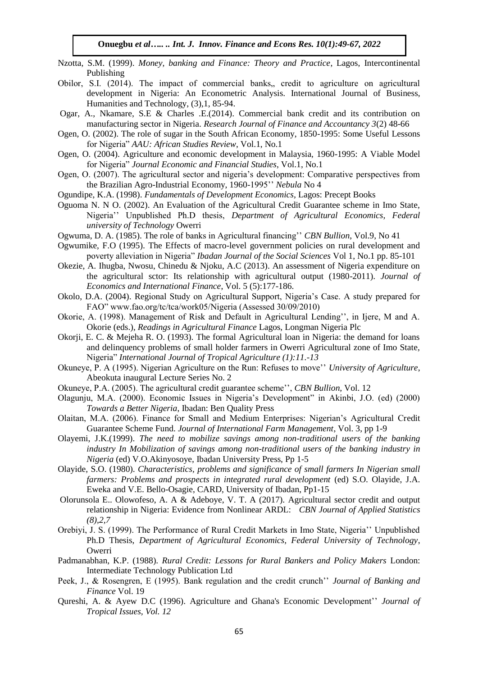**Onuegbu** *et al….. .. Int. J. Innov. Finance and Econs Res. 10(1):49-67, 2022*

|            |  |  |  |  | Nzotta, S.M. (1999). Money, banking and Finance: Theory and Practice, Lagos, Intercontinental |
|------------|--|--|--|--|-----------------------------------------------------------------------------------------------|
| Publishing |  |  |  |  |                                                                                               |

- Obilor, S.I. (2014). The impact of commercial banks,, credit to agriculture on agricultural development in Nigeria: An Econometric Analysis. International Journal of Business, Humanities and Technology, (3),1, 85-94.
- Ogar, A., Nkamare, S.E & Charles .E.(2014). Commercial bank credit and its contribution on manufacturing sector in Nigeria. *Research Journal of Finance and Accountancy 3*(2) 48-66
- Ogen, O. (2002). The role of sugar in the South African Economy, 1850-1995: Some Useful Lessons for Nigeria" *AAU: African Studies Review*, Vol.1, No.1
- Ogen, O. (2004). Agriculture and economic development in Malaysia, 1960-1995: A Viable Model for Nigeria" *Journal Economic and Financial Studies*, Vol.1, No.1
- Ogen, O. (2007). The agricultural sector and nigeria's development: Comparative perspectives from the Brazilian Agro-Industrial Economy, 1960-1995'' *Nebula* No 4
- Ogundipe, K.A. (1998). *Fundamentals of Development Economics,* Lagos: Precept Books
- Oguoma N. N O. (2002). An Evaluation of the Agricultural Credit Guarantee scheme in Imo State, Nigeria'' Unpublished Ph.D thesis, *Department of Agricultural Economics, Federal university of Technology* Owerri
- Ogwuma, D. A. (1985). The role of banks in Agricultural financing'' *CBN Bullion*, Vol.9, No 41
- Ogwumike, F.O (1995). The Effects of macro-level government policies on rural development and poverty alleviation in Nigeria" *Ibadan Journal of the Social Sciences* Vol 1, No.1 pp. 85-101
- Okezie, A. Ihugba, Nwosu, Chinedu & Njoku, A.C (2013). An assessment of Nigeria expenditure on the agricultural sctor: Its relationship with agricultural output (1980-2011). *Journal of Economics and International Finance*, Vol. 5 (5):177-186.
- Okolo, D.A. (2004). Regional Study on Agricultural Support, Nigeria's Case. A study prepared for FAO" www.fao.org/tc/tca/work05/Nigeria (Assessed 30/09/2010)
- Okorie, A. (1998). Management of Risk and Default in Agricultural Lending'', in Ijere, M and A. Okorie (eds.), *Readings in Agricultural Finance* Lagos, Longman Nigeria Plc
- Okorji, E. C. & Mejeha R. O. (1993). The formal Agricultural loan in Nigeria: the demand for loans and delinquency problems of small holder farmers in Owerri Agricultural zone of Imo State, Nigeria" *International Journal of Tropical Agriculture (1):11.-13*
- Okuneye, P. A (1995). Nigerian Agriculture on the Run: Refuses to move'' *University of Agriculture*, Abeokuta inaugural Lecture Series No. 2
- Okuneye, P.A. (2005). The agricultural credit guarantee scheme'', *CBN Bullion,* Vol. 12
- Olagunju, M.A. (2000). Economic Issues in Nigeria's Development" in Akinbi, J.O. (ed) (2000) *Towards a Better Nigeria*, Ibadan: Ben Quality Press
- Olaitan, M.A. (2006). Finance for Small and Medium Enterprises: Nigerian's Agricultural Credit Guarantee Scheme Fund. *Journal of International Farm Management*, Vol. 3, pp 1-9
- Olayemi, J.K.(1999). *The need to mobilize savings among non-traditional users of the banking industry In Mobilization of savings among non-traditional users of the banking industry in Nigeria* (ed) V.O.Akinyosoye, Ibadan University Press, Pp 1-5
- Olayide, S.O. (1980). *Characteristics, problems and significance of small farmers In Nigerian small farmers: Problems and prospects in integrated rural development* (ed) S.O. Olayide, J.A. Eweka and V.E. Bello-Osagie, CARD, University of Ibadan, Pp1-15
- Olorunsola E.. Olowofeso, A. A & Adeboye, V. T. A (2017). Agricultural sector credit and output relationship in Nigeria: Evidence from Nonlinear ARDL: *CBN Journal of Applied Statistics (8),2,7*
- Orebiyi, J. S. (1999). The Performance of Rural Credit Markets in Imo State, Nigeria'' Unpublished Ph.D Thesis, *Department of Agricultural Economics, Federal University of Technology*, Owerri
- Padmanabhan, K.P. (1988). *Rural Credit: Lessons for Rural Bankers and Policy Makers* London: Intermediate Technology Publication Ltd
- Peek, J., & Rosengren, E (1995). Bank regulation and the credit crunch'' *Journal of Banking and Finance* Vol. 19
- Qureshi, A. & Ayew D.C (1996). Agriculture and Ghana's Economic Development'' *Journal of Tropical Issues, Vol. 12*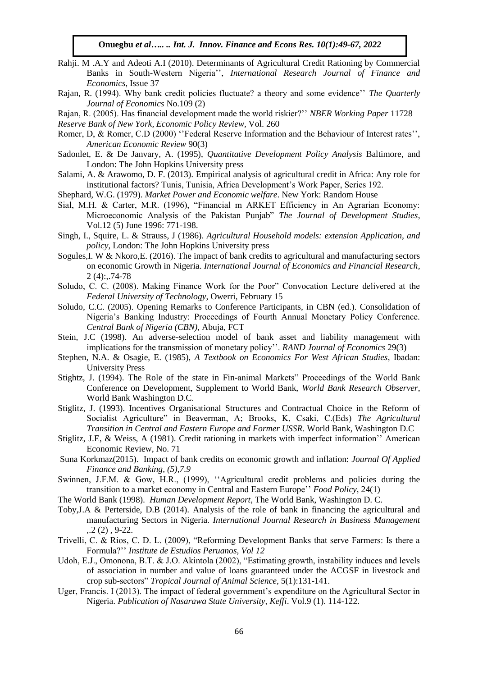- Rahji. M .A.Y and Adeoti A.I (2010). Determinants of Agricultural Credit Rationing by Commercial Banks in South-Western Nigeria'', *International Research Journal of Finance and Economics*, Issue 37
- Rajan, R. (1994). Why bank credit policies fluctuate? a theory and some evidence'' *The Quarterly Journal of Economics* No.109 (2)

Rajan, R. (2005). Has financial development made the world riskier?'' *NBER Working Paper* 11728

*Reserve Bank of New York, Economic Policy Review,* Vol. 260

- Romer, D, & Romer, C.D (2000) ''Federal Reserve Information and the Behaviour of Interest rates'', *American Economic Review* 90(3)
- Sadonlet, E. & De Janvary, A. (1995), *Quantitative Development Policy Analysis* Baltimore, and London: The John Hopkins University press
- Salami, A. & Arawomo, D. F. (2013). Empirical analysis of agricultural credit in Africa: Any role for institutional factors? Tunis, Tunisia, Africa Development's Work Paper, Series 192.
- Shephard, W.G. (1979). *Market Power and Economic welfare*. New York: Random House
- Sial, M.H. & Carter, M.R. (1996), "Financial m ARKET Efficiency in An Agrarian Economy: Microeconomic Analysis of the Pakistan Punjab" *The Journal of Development Studies*, Vol.12 (5) June 1996: 771-198.
- Singh, I., Squire, L. & Strauss, J (1986). *Agricultural Household models: extension Application, and policy*, London: The John Hopkins University press
- Sogules,I. W & Nkoro,E. (2016). The impact of bank credits to agricultural and manufacturing sectors on economic Growth in Nigeria. *International Journal of Economics and Financial Research*, 2 (4):,.74-78
- Soludo, C. C. (2008). Making Finance Work for the Poor" Convocation Lecture delivered at the *Federal University of Technology*, Owerri, February 15
- Soludo, C.C. (2005). Opening Remarks to Conference Participants, in CBN (ed.). Consolidation of Nigeria's Banking Industry: Proceedings of Fourth Annual Monetary Policy Conference. *Central Bank of Nigeria (CBN)*, Abuja, FCT
- Stein, J.C (1998). An adverse-selection model of bank asset and liability management with implications for the transmission of monetary policy''. *RAND Journal of Economics* 29(3)
- Stephen, N.A. & Osagie, E. (1985), *A Textbook on Economics For West African Studies*, Ibadan: University Press
- Stightz, J. (1994). The Role of the state in Fin-animal Markets" Proceedings of the World Bank Conference on Development, Supplement to World Bank, *World Bank Research Observer*, World Bank Washington D.C.
- Stiglitz, J. (1993). Incentives Organisational Structures and Contractual Choice in the Reform of Socialist Agriculture" in Beaverman, A; Brooks, K, Csaki, C.(Eds) *The Agricultural Transition in Central and Eastern Europe and Former USSR.* World Bank, Washington D.C
- Stiglitz, J.E, & Weiss, A (1981). Credit rationing in markets with imperfect information'' American Economic Review, No. 71
- Suna Korkmaz(2015). Impact of bank credits on economic growth and inflation: *Journal Of Applied Finance and Banking, (5),7.9*
- Swinnen, J.F.M. & Gow, H.R., (1999), ''Agricultural credit problems and policies during the transition to a market economy in Central and Eastern Europe'' *Food Policy*, 24(1)
- The World Bank (1998). *Human Development Report*, The World Bank, Washington D. C.
- Toby,J.A & Perterside, D.B (2014). Analysis of the role of bank in financing the agricultural and manufacturing Sectors in Nigeria*. International Journal Research in Business Management*  ,.2 (2) , 9-22.
- Trivelli, C. & Rios, C. D. L. (2009), "Reforming Development Banks that serve Farmers: Is there a Formula?'' *Institute de Estudios Peruanos, Vol 12*
- Udoh, E.J., Omonona, B.T. & J.O. Akintola (2002), "Estimating growth, instability induces and levels of association in number and value of loans guaranteed under the ACGSF in livestock and crop sub-sectors" *Tropical Journal of Animal Science*, 5(1):131-141.
- Uger, Francis. I (2013). The impact of federal government's expenditure on the Agricultural Sector in Nigeria. *Publication of Nasarawa State University, Keffi*. Vol.9 (1). 114-122.